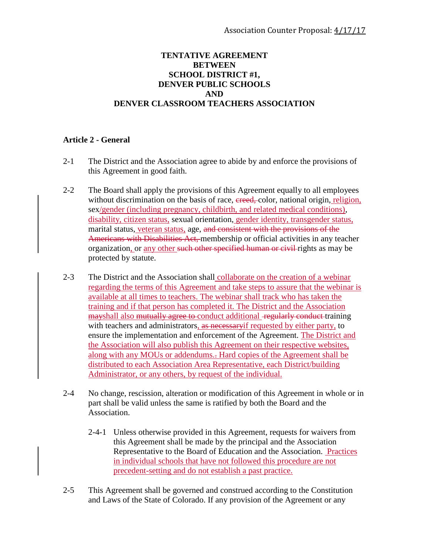## **TENTATIVE AGREEMENT BETWEEN SCHOOL DISTRICT #1, DENVER PUBLIC SCHOOLS AND DENVER CLASSROOM TEACHERS ASSOCIATION**

## **Article 2 - General**

- 2-1 The District and the Association agree to abide by and enforce the provisions of this Agreement in good faith.
- 2-2 The Board shall apply the provisions of this Agreement equally to all employees without discrimination on the basis of race, ereed, color, national origin, religion, sex/gender (including pregnancy, childbirth, and related medical conditions), disability, citizen status, sexual orientation, gender identity, transgender status, marital status, veteran status, age, and consistent with the provisions of the Americans with Disabilities Act, membership or official activities in any teacher organization, or any other such other specified human or civil rights as may be protected by statute.
- 2-3 The District and the Association shall collaborate on the creation of a webinar regarding the terms of this Agreement and take steps to assure that the webinar is available at all times to teachers. The webinar shall track who has taken the training and if that person has completed it. The District and the Association mayshall also mutually agree to conduct additional regularly conduct training with teachers and administrators, as necessary if requested by either party, to ensure the implementation and enforcement of the Agreement. The District and the Association will also publish this Agreement on their respective websites, along with any MOUs or addendums.. Hard copies of the Agreement shall be distributed to each Association Area Representative, each District/building Administrator, or any others, by request of the individual.
- 2-4 No change, rescission, alteration or modification of this Agreement in whole or in part shall be valid unless the same is ratified by both the Board and the Association.
	- 2-4-1 Unless otherwise provided in this Agreement, requests for waivers from this Agreement shall be made by the principal and the Association Representative to the Board of Education and the Association. Practices in individual schools that have not followed this procedure are not precedent-setting and do not establish a past practice.
- 2-5 This Agreement shall be governed and construed according to the Constitution and Laws of the State of Colorado. If any provision of the Agreement or any